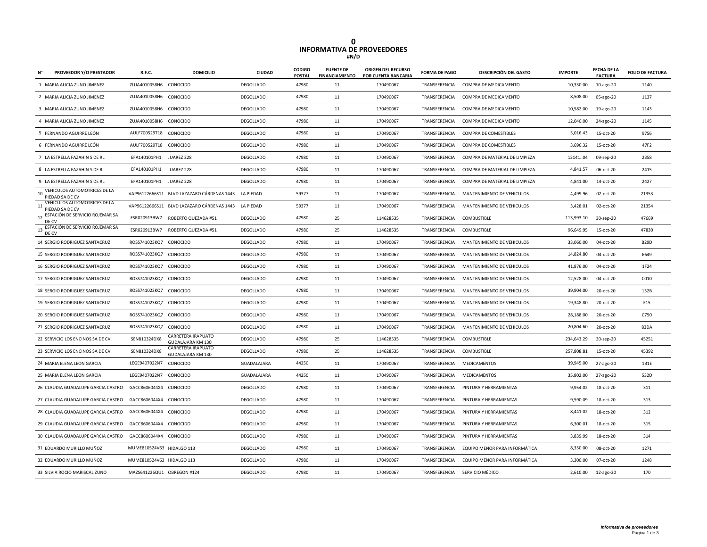## **0 INFORMATIVA DE PROVEEDORES #N/D**

|    | PROVEEDOR Y/O PRESTADOR                         | R.F.C.                     | <b>DOMICILIO</b>                                     | <b>CIUDAD</b>    | <b>CODIGO</b><br><b>POSTAL</b> | <b>FUENTE DE</b><br><b>FINANCIAMIENTO</b> | ORIGEN DEL RECURSO<br>POR CUENTA BANCARIA | <b>FORMA DE PAGO</b> | <b>DESCRIPCIÓN DEL GASTO</b>   | <b>IMPORTE</b> | FECHA DE LA<br><b>FACTURA</b> | <b>FOLIO DE FACTURA</b> |
|----|-------------------------------------------------|----------------------------|------------------------------------------------------|------------------|--------------------------------|-------------------------------------------|-------------------------------------------|----------------------|--------------------------------|----------------|-------------------------------|-------------------------|
|    | 1 MARIA ALICIA ZUNO JIMENEZ                     | ZUJA4010058H6 CONOCIDO     |                                                      | DEGOLLADO        | 47980                          | 11                                        | 170490067                                 | TRANSFERENCIA        | COMPRA DE MEDICAMENTO          | 10,330.00      | 10-ago-20                     | 1140                    |
|    | 2 MARIA ALICIA ZUNO JIMENEZ                     | ZUJA4010058H6 CONOCIDO     |                                                      | <b>DEGOLLADO</b> | 47980                          | 11                                        | 170490067                                 | TRANSFERENCIA        | COMPRA DE MEDICAMENTO          | 8,508.00       | 05-ago-20                     | 1137                    |
|    | 3 MARIA ALICIA ZUNO JIMENEZ                     | ZUJA4010058H6 CONOCIDO     |                                                      | <b>DEGOLLADO</b> | 47980                          | 11                                        | 170490067                                 | TRANSFERENCIA        | COMPRA DE MEDICAMENTO          | 10,582.00      | 19-ago-20                     | 1143                    |
|    | 4 MARIA ALICIA ZUNO JIMENEZ                     | ZUJA4010058H6              | CONOCIDO                                             | <b>DEGOLLADO</b> | 47980                          | 11                                        | 170490067                                 | TRANSFERENCIA        | COMPRA DE MEDICAMENTO          | 12,040.00      | 24-ago-20                     | 1145                    |
|    | 5 FERNANDO AGUIRRE LEÓN                         | AULF700529T18 CONOCIDO     |                                                      | <b>DEGOLLADO</b> | 47980                          | 11                                        | 170490067                                 | TRANSFERENCIA        | <b>COMPRA DE COMESTIBLES</b>   | 5,016.43       | 15-oct-20                     | 9756                    |
|    | 6 FERNANDO AGUIRRE LEÓN                         | AULF700529T18 CONOCIDO     |                                                      | DEGOLLADO        | 47980                          | 11                                        | 170490067                                 | TRANSFERENCIA        | <b>COMPRA DE COMESTIBLES</b>   | 3,696.32       | 15-oct-20                     | 47F2                    |
|    | 7 LA ESTRELLA FAZAHIN S DE RL                   | EFA140101PH1               | JUAREZ 228                                           | <b>DEGOLLADO</b> | 47980                          | 11                                        | 170490067                                 | TRANSFERENCIA        | COMPRA DE MATERIAL DE LIMPIEZA | 1314104        | 09-sep-20                     | 2358                    |
|    | 8 LA ESTRELLA FAZAHIN S DE RL                   | EFA140101PH1               | JUAREZ 228                                           | DEGOLLADO        | 47980                          | 11                                        | 170490067                                 | TRANSFERENCIA        | COMPRA DE MATERIAL DE LIMPIEZA | 4,841.57       | 06-oct-20                     | 2415                    |
|    | 9 LA ESTRELLA FAZAHIN S DE RL                   | EFA140101PH1               | JUAREZ 228                                           | <b>DEGOLLADO</b> | 47980                          | 11                                        | 170490067                                 | TRANSFERENCIA        | COMPRA DE MATERIAL DE LIMPIEZA | 4,841.00       | 14-oct-20                     | 2427                    |
| 10 | VEHICULOS AUTOMOTRICES DE LA<br>PIEDAD SA DE CV |                            | VAP96122666S11 BLVD LAZAZARO CÁRDENAS 1443           | LA PIEDAD        | 59377                          | 11                                        | 170490067                                 | TRANSFERENCIA        | MANTENIMIENTO DE VEHICULOS     | 4,499.96       | 02-oct-20                     | 21353                   |
| 11 | VEHICULOS AUTOMOTRICES DE LA<br>PIEDAD SA DE CV |                            | VAP96122666S11 BLVD LAZAZARO CÁRDENAS 1443 LA PIEDAD |                  | 59377                          | 11                                        | 170490067                                 | TRANSFERENCIA        | MANTENIMIENTO DE VEHICULOS     | 3,428.01       | 02-oct-20                     | 21354                   |
| 12 | ESTACIÓN DE SERVICIO ROJEMAR SA<br>DE CV        | ESR020913BW7               | ROBERTO QUEZADA #51                                  | <b>DEGOLLADO</b> | 47980                          | 25                                        | 114628535                                 | TRANSFERENCIA        | COMBUSTIBLE                    | 113,993.10     | 30-sep-20                     | 47669                   |
| 13 | ESTACIÓN DE SERVICIO ROJEMAR SA<br>DE CV        | ESR020913BW7               | ROBERTO QUEZADA #51                                  | <b>DEGOLLADO</b> | 47980                          | 25                                        | 114628535                                 | TRANSFERENCIA        | COMBUSTIBLE                    | 96,649.95      | 15-oct-20                     | 47830                   |
|    | 14 SERGIO RODRIGUEZ SANTACRUZ                   | ROSS741023KQ7 CONOCIDO     |                                                      | <b>DEGOLLADO</b> | 47980                          | 11                                        | 170490067                                 | TRANSFERENCIA        | MANTENIMIENTO DE VEHICULOS     | 33,060.00      | 04-oct-20                     | <b>B29D</b>             |
|    | 15 SERGIO RODRIGUEZ SANTACRUZ                   | ROSS741023KQ7              | CONOCIDO                                             | <b>DEGOLLADO</b> | 47980                          | 11                                        | 170490067                                 | TRANSFERENCIA        | MANTENIMIENTO DE VEHICULOS     | 14,824.80      | 04-oct-20                     | F649                    |
|    | 16 SERGIO RODRIGUEZ SANTACRUZ                   | ROSS741023KQ7 CONOCIDO     |                                                      | <b>DEGOLLADO</b> | 47980                          | 11                                        | 170490067                                 | TRANSFERENCIA        | MANTENIMIENTO DE VEHICULOS     | 41,876.00      | 04-oct-20                     | 1F24                    |
|    | 17 SERGIO RODRIGUEZ SANTACRUZ                   | ROSS741023KQ7 CONOCIDO     |                                                      | DEGOLLADO        | 47980                          | 11                                        | 170490067                                 | TRANSFERENCIA        | MANTENIMIENTO DE VEHICULOS     | 12,528.00      | 04-oct-20                     | C010                    |
|    | 18 SERGIO RODRIGUEZ SANTACRUZ                   | ROSS741023KQ7 CONOCIDO     |                                                      | <b>DEGOLLADO</b> | 47980                          | 11                                        | 170490067                                 | TRANSFERENCIA        | MANTENIMIENTO DE VEHICULOS     | 39,904.00      | 20-oct-20                     | 132B                    |
|    | 19 SERGIO RODRIGUEZ SANTACRUZ                   | ROSS741023KQ7 CONOCIDO     |                                                      | DEGOLLADO        | 47980                          | 11                                        | 170490067                                 | TRANSFERENCIA        | MANTENIMIENTO DE VEHICULOS     | 19,348.80      | 20-oct-20                     | E15                     |
|    | 20 SERGIO RODRIGUEZ SANTACRUZ                   | ROSS741023KQ7              | CONOCIDO                                             | <b>DEGOLLADO</b> | 47980                          | 11                                        | 170490067                                 | TRANSFERENCIA        | MANTENIMIENTO DE VEHICULOS     | 28,188.00      | 20-oct-20                     | C750                    |
|    | 21 SERGIO RODRIGUEZ SANTACRUZ                   | ROSS741023KQ7 CONOCIDO     |                                                      | <b>DEGOLLADO</b> | 47980                          | 11                                        | 170490067                                 | TRANSFERENCIA        | MANTENIMIENTO DE VEHICULOS     | 20,804.60      | 20-oct-20                     | 83DA                    |
|    | 22 SERVICIO LOS ENCINOS SA DE CV                | SEN810324DX8               | CARRETERA IRAPUATO<br>GUDALAJARA KM 130              | DEGOLLADO        | 47980                          | 25                                        | 114628535                                 | TRANSFERENCIA        | <b>COMBUSTIBLE</b>             | 234,643.29     | 30-sep-20                     | 45251                   |
|    | 23 SERVICIO LOS ENCINOS SA DE CV                | SEN810324DX8               | CARRETERA IRAPUATO<br>GUDALAJARA KM 130              | <b>DEGOLLADO</b> | 47980                          | 25                                        | 114628535                                 | TRANSFERENCIA        | COMBUSTIBLE                    | 257,808.81     | 15-oct-20                     | 45392                   |
|    | 24 MARIA ELENA LEON GARCIA                      | LEGE9407022N7              | CONOCIDO                                             | GUADALAJARA      | 44250                          | 11                                        | 170490067                                 | TRANSFERENCIA        | <b>MEDICAMENTOS</b>            | 39,945.00      | 27-ago-20                     | 1B1E                    |
|    | 25 MARIA ELENA LEON GARCIA                      | LEGE9407022N7              | CONOCIDO                                             | GUADALAJARA      | 44250                          | 11                                        | 170490067                                 | TRANSFERENCIA        | <b>MEDICAMENTOS</b>            | 35,802.00      | 27-ago-20                     | 532D                    |
|    | 26 CLAUDIA GUADALUPE GARCIA CASTRO              | GACC8606044X4 CONOCIDO     |                                                      | <b>DEGOLLADO</b> | 47980                          | 11                                        | 170490067                                 | TRANSFERENCIA        | PINTURA Y HERRAMIENTAS         | 9,954.02       | 18-oct-20                     | 311                     |
|    | 27 CLAUDIA GUADALUPE GARCIA CASTRO              | GACC8606044X4 CONOCIDO     |                                                      | DEGOLLADO        | 47980                          | 11                                        | 170490067                                 | TRANSFERENCIA        | PINTURA Y HERRAMIENTAS         | 9,590.09       | 18-oct-20                     | 313                     |
|    | 28 CLAUDIA GUADALUPE GARCIA CASTRO              | GACC8606044X4 CONOCIDO     |                                                      | <b>DEGOLLADO</b> | 47980                          | 11                                        | 170490067                                 | TRANSFERENCIA        | PINTURA Y HERRAMIENTAS         | 8.441.02       | 18-oct-20                     | 312                     |
|    | 29 CLAUDIA GUADALUPE GARCIA CASTRO              | GACC8606044X4 CONOCIDO     |                                                      | DEGOLLADO        | 47980                          | 11                                        | 170490067                                 | TRANSFERENCIA        | PINTURA Y HERRAMIENTAS         | 6,300.01       | 18-oct-20                     | 315                     |
|    | 30 CLAUDIA GUADALUPE GARCIA CASTRO              | GACC8606044X4 CONOCIDO     |                                                      | DEGOLLADO        | 47980                          | 11                                        | 170490067                                 | TRANSFERENCIA        | PINTURA Y HERRAMIENTAS         | 3,839.99       | 18-oct-20                     | 314                     |
|    | 31 EDUARDO MURILLO MUÑOZ                        | MUME810524V63 HIDALGO 113  |                                                      | DEGOLLADO        | 47980                          | 11                                        | 170490067                                 | TRANSFERENCIA        | EQUIPO MENOR PARA INFORMÁTICA  | 8,350.00       | 08-oct-20                     | 1271                    |
|    | 32 EDUARDO MURILLO MUÑOZ                        | MUME810524V63 HIDALGO 113  |                                                      | <b>DEGOLLADO</b> | 47980                          | 11                                        | 170490067                                 | TRANSFERENCIA        | EQUIPO MENOR PARA INFORMÁTICA  | 3,300.00       | 07-oct-20                     | 1248                    |
|    | 33 SILVIA ROCIO MARISCAL ZUNO                   | MAZS641226QU1 OBREGON #124 |                                                      | <b>DEGOLLADO</b> | 47980                          | 11                                        | 170490067                                 | TRANSFERENCIA        | SERVICIO MÉDICO                | 2,610.00       | 12-ago-20                     | 170                     |
|    |                                                 |                            |                                                      |                  |                                |                                           |                                           |                      |                                |                |                               |                         |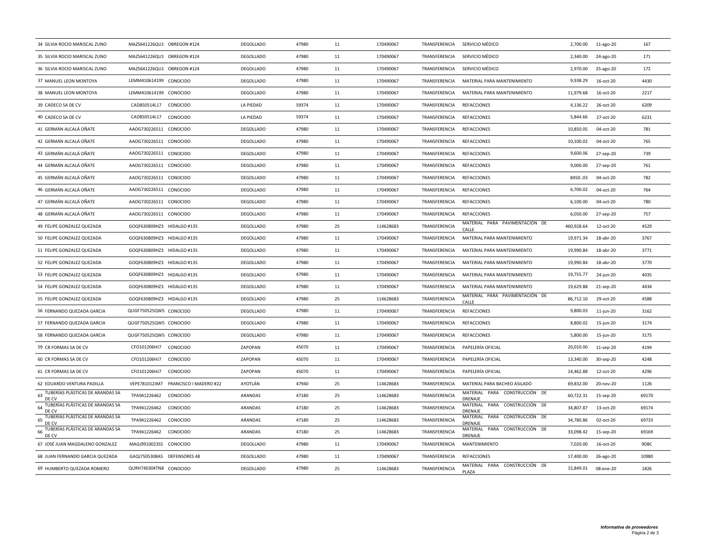| 34 SILVIA ROCIO MARISCAL ZUNO                   | MAZS641226QU1 OBREGON #124           | <b>DEGOLLADO</b> | 47980 | 11 | 170490067 |               | TRANSFERENCIA SERVICIO MÉDICO                   | 2,700.00   | 11-ago-20    | 167   |
|-------------------------------------------------|--------------------------------------|------------------|-------|----|-----------|---------------|-------------------------------------------------|------------|--------------|-------|
| 35 SILVIA ROCIO MARISCAL ZUNO                   | MAZS641226QU1 OBREGON #124           | <b>DEGOLLADO</b> | 47980 | 11 | 170490067 | TRANSFERENCIA | SERVICIO MÉDICO                                 | 2,340.00   | 24-ago-20    | 171   |
| 36 SILVIA ROCIO MARISCAL ZUNO                   | MAZS641226QU1 OBREGON #124           | <b>DEGOLLADO</b> | 47980 | 11 | 170490067 | TRANSFERENCIA | SERVICIO MÉDICO                                 | 2,970.00   | 25-ago-20    | 172   |
| 37 MANUEL LEON MONTOYA                          | LEMM410614199 CONOCIDO               | <b>DEGOLLADO</b> | 47980 | 11 | 170490067 | TRANSFERENCIA | MATERIAL PARA MANTENIMIENTO                     | 9,938.29   | 16-oct-20    | 4430  |
| 38 MANUEL LEON MONTOYA                          | LEMM410614199 CONOCIDO               | <b>DEGOLLADO</b> | 47980 | 11 | 170490067 | TRANSFERENCIA | MATERIAL PARA MANTENIMIENTO                     | 11,979.68  | 16-oct-20    | 2217  |
| 39 CADECO SA DE CV                              | CAD850514L17<br>CONOCIDO             | LA PIEDAD        | 59374 | 11 | 170490067 | TRANSFERENCIA | <b>REFACCIONES</b>                              | 4,136.22   | 26-oct-20    | 6209  |
| 40 CADECO SA DE CV                              | CAD850514L17<br>CONOCIDO             | LA PIEDAD        | 59374 | 11 | 170490067 | TRANSFERENCIA | <b>REFACCIONES</b>                              | 5,844.66   | 27-oct-20    | 6231  |
| 41 GERMÁN ALCALÁ OÑATE                          | AAOG730226511 CONOCIDO               | <b>DEGOLLADO</b> | 47980 | 11 | 170490067 | TRANSFERENCIA | <b>REFACCIONES</b>                              | 10,850.05  | 04-oct-20    | 781   |
| 42 GERMÁN ALCALÁ OÑATE                          | AAOG730226511 CONOCIDO               | <b>DEGOLLADO</b> | 47980 | 11 | 170490067 | TRANSFERENCIA | <b>REFACCIONES</b>                              | 10,100.02  | 04-oct-20    | 765   |
| 43 GERMÁN ALCALÁ OÑATE                          | AAOG730226511 CONOCIDO               | <b>DEGOLLADO</b> | 47980 | 11 | 170490067 | TRANSFERENCIA | <b>REFACCIONES</b>                              | 9,600.06   | 27-sep-20    | 739   |
| 44 GERMÁN ALCALÁ OÑATE                          | AAOG730226511 CONOCIDO               | <b>DEGOLLADO</b> | 47980 | 11 | 170490067 | TRANSFERENCIA | <b>REFACCIONES</b>                              | 9,000.00   | 27-sep-20    | 761   |
| 45 GERMÁN ALCALÁ OÑATE                          | AAOG730226511 CONOCIDO               | <b>DEGOLLADO</b> | 47980 | 11 | 170490067 | TRANSFERENCIA | <b>REFACCIONES</b>                              | 845003     | 04-oct-20    | 782   |
| 46 GERMÁN ALCALÁ OÑATE                          | AAOG730226511 CONOCIDO               | <b>DEGOLLADO</b> | 47980 | 11 | 170490067 | TRANSFERENCIA | <b>REFACCIONES</b>                              | 6,700.02   | 04-oct-20    | 764   |
| 47 GERMÁN ALCALÁ OÑATE                          | AAOG730226511 CONOCIDO               | <b>DEGOLLADO</b> | 47980 | 11 | 170490067 | TRANSFERENCIA | <b>REFACCIONES</b>                              | 6,100.00   | 04-oct-20    | 780   |
| 48 GERMÁN ALCALÁ OÑATE                          | AAOG730226511 CONOCIDO               | <b>DEGOLLADO</b> | 47980 | 11 | 170490067 | TRANSFERENCIA | <b>REFACCIONES</b>                              | 6,050.00   | 27-sep-20    | 757   |
| 49 FELIPE GONZALEZ QUEZADA                      | GOQF630809HZ3 HIDALGO #135           | <b>DEGOLLADO</b> | 47980 | 25 | 114628683 | TRANSFERENCIA | MATERIAL PARA PAVIMENTACIÓN DE<br>CALLE         | 460,928.64 | 12-oct-20    | 4529  |
| 50 FELIPE GONZALEZ QUEZADA                      | GOQF630809HZ3 HIDALGO #135           | DEGOLLADO        | 47980 | 11 | 170490067 | TRANSFERENCIA | MATERIAL PARA MANTENIMIENTO                     | 19,971.34  | 18-abr-20    | 3767  |
| 51 FELIPE GONZALEZ QUEZADA                      | GOQF630809HZ3 HIDALGO #135           | <b>DEGOLLADO</b> | 47980 | 11 | 170490067 | TRANSFERENCIA | MATERIAL PARA MANTENIMIENTO                     | 19,990.84  | 18-abr-20    | 3771  |
| 52 FELIPE GONZALEZ QUEZADA                      | GOQF630809HZ3 HIDALGO #135           | <b>DEGOLLADO</b> | 47980 | 11 | 170490067 | TRANSFERENCIA | MATERIAL PARA MANTENIMIENTO                     | 19,990.84  | 18-abr-20    | 3770  |
| 53 FELIPE GONZALEZ QUEZADA                      | GOQF630809HZ3 HIDALGO #135           | <b>DEGOLLADO</b> | 47980 | 11 | 170490067 | TRANSFERENCIA | MATERIAL PARA MANTENIMIENTO                     | 19,755.77  | 24-jun-20    | 4035  |
| 54 FELIPE GONZALEZ QUEZADA                      | GOQF630809HZ3 HIDALGO #135           | <b>DEGOLLADO</b> | 47980 | 11 | 170490067 | TRANSFERENCIA | MATERIAL PARA MANTENIMIENTO                     | 19,629.88  | 21-sep-20    | 4434  |
| 55 FELIPE GONZALEZ QUEZADA                      | GOQF630809HZ3 HIDALGO #135           | <b>DEGOLLADO</b> | 47980 | 25 | 114628683 | TRANSFERENCIA | MATERIAL PARA PAVIMENTACIÓN DE<br>CALLE         | 86,712.10  | 29-oct-20    | 4588  |
| 56 FERNANDO QUEZADA GARCIA                      | QUGF750525QW5 CONOCIDO               | <b>DEGOLLADO</b> | 47980 | 11 | 170490067 | TRANSFERENCIA | <b>REFACCIONES</b>                              | 9,800.03   | $11$ -jun-20 | 3162  |
| 57 FERNANDO QUEZADA GARCIA                      | QUGF750525QW5 CONOCIDO               | <b>DEGOLLADO</b> | 47980 | 11 | 170490067 | TRANSFERENCIA | <b>REFACCIONES</b>                              | 8,800.02   | 15-jun-20    | 3174  |
| 58 FERNANDO QUEZADA GARCIA                      | QUGF750525QW5 CONOCIDO               | <b>DEGOLLADO</b> | 47980 | 11 | 170490067 | TRANSFERENCIA | <b>REFACCIONES</b>                              | 5,800.00   | 15-jun-20    | 3175  |
| 59 CR FORMAS SA DE CV                           | CFO101206HJ7<br>CONOCIDO             | ZAPOPAN          | 45070 | 11 | 170490067 | TRANSFERENCIA | PAPELERÍA OFICIAL                               | 20,010.00  | 11-sep-20    | 4194  |
| 60 CR FORMAS SA DE CV                           | CFO101206HJ7<br>CONOCIDO             | ZAPOPAN          | 45070 | 11 | 170490067 | TRANSFERENCIA | PAPELERÍA OFICIAL                               | 13,340.00  | 30-sep-20    | 4248  |
| 61 CR FORMAS SA DE CV                           | CONOCIDO<br>CFO101206HJ7             | ZAPOPAN          | 45070 | 11 | 170490067 | TRANSFERENCIA | PAPELERÍA OFICIAL                               | 14,462.88  | 12-oct-20    | 4296  |
| 62 EDUARDO VENTURA PADILLA                      | VEPE781012JM7 FRANCISCO I MADERO #22 | AYOTLÁN          | 47940 | 25 | 114628683 | TRANSFERENCIA | MATERIAL PARA BACHEO ASILADO                    | 69,832.00  | 20-nov-20    | 1126  |
| TUBERÍAS PLÁSTICAS DE ARANDAS SA<br>63<br>DE C  | TPA941226462<br>CONOCIDO             | ARANDAS          | 47180 | 25 | 114628683 | TRANSFERENCIA | MATERIAL PARA CONSTRUCCIÓN DE<br>DRENAJE        | 60,722.31  | 15-sep-20    | 69170 |
| TUBERÍAS PLÁSTICAS DE ARANDAS SA<br>64<br>DE CV | CONOCIDO<br>TPA941226462             | ARANDAS          | 47180 | 25 | 114628683 | TRANSFERENCIA | MATERIAL PARA CONSTRUCCIÓN DE<br>DRENAJE        | 34,807.87  | 13-oct-20    | 69174 |
| TUBERÍAS PLÁSTICAS DE ARANDAS SA<br>65<br>DE CV | TPA941226462<br>CONOCIDO             | ARANDAS          | 47180 | 25 | 114628683 | TRANSFERENCIA | MATERIAL PARA CONSTRUCCIÓN DE<br><b>DRENAJE</b> | 34,780.86  | 02-oct-20    | 69733 |
| TUBERÍAS PLÁSTICAS DE ARANDAS SA<br>66<br>DE CV | TPA941226462<br>CONOCIDO             | ARANDAS          | 47180 | 25 | 114628683 | TRANSFERENCIA | MATERIAL PARA CONSTRUCCIÓN DE<br><b>DRENAJE</b> | 33,098.42  | 15-sep-20    | 69169 |
| 67 JOSÉ JUAN MAGDALENO GONZALEZ                 | MAGJ9910023S5 CONOCIDO               | <b>DEGOLLADO</b> | 47980 | 11 | 170490067 | TRANSFERENCIA | <b>MANTENIMIENTO</b>                            | 7.020.00   | 16-oct-20    | 9D8C  |
| 68 JUAN FERNANDO GARCIA QUEZADA                 | GAQJ7505308A5 DEFENSORES 48          | DEGOLLADO        | 47980 | 11 | 170490067 | TRANSFERENCIA | <b>REFACCIONES</b>                              | 17,400.00  | 26-ago-20    | 10980 |
| 69 HUMBERTO QUEZADA ROMERO                      | QURH740304TN8 CONOCIDO               | <b>DEGOLLADO</b> | 47980 | 25 | 114628683 | TRANSFERENCIA | MATERIAL PARA CONSTRUCCIÓN DE<br>PLAZA          | 15,849.01  | 08-ene-20    | 1826  |